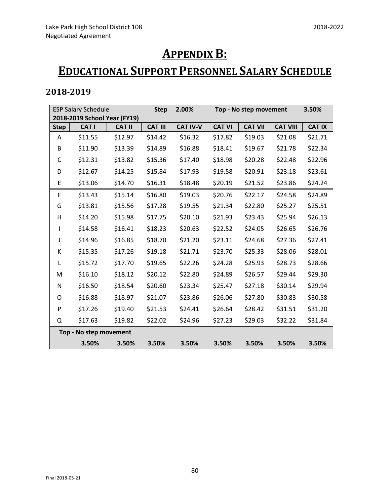# **APPENDIX B:**

## **EDUCATIONAL SUPPORT PERSONNEL SALARY SCHEDULE**

| <b>ESP Salary Schedule</b>   |                        |               | <b>Step</b>    | 2.00%           | Top - No step movement |                |                 | 3.50%         |
|------------------------------|------------------------|---------------|----------------|-----------------|------------------------|----------------|-----------------|---------------|
| 2018-2019 School Year (FY19) |                        |               |                |                 |                        |                |                 |               |
| <b>Step</b>                  | CAT I                  | <b>CAT II</b> | <b>CAT III</b> | <b>CAT IV-V</b> | <b>CAT VI</b>          | <b>CAT VII</b> | <b>CAT VIII</b> | <b>CAT IX</b> |
| Α                            | \$11.55                | \$12.97       | \$14.42        | \$16.32         | \$17.82                | \$19.03        | \$21.08         | \$21.71       |
| B                            | \$11.90                | \$13.39       | \$14.89        | \$16.88         | \$18.41                | \$19.67        | \$21.78         | \$22.34       |
| C                            | \$12.31                | \$13.82       | \$15.36        | \$17.40         | \$18.98                | \$20.28        | \$22.48         | \$22.96       |
| D                            | \$12.67                | \$14.25       | \$15.84        | \$17.93         | \$19.58                | \$20.91        | \$23.18         | \$23.61       |
| E                            | \$13.06                | \$14.70       | \$16.31        | \$18.48         | \$20.19                | \$21.52        | \$23.86         | \$24.24       |
| F                            | \$13.43                | \$15.14       | \$16.80        | \$19.03         | \$20.76                | \$22.17        | \$24.58         | \$24.89       |
| G                            | \$13.81                | \$15.56       | \$17.28        | \$19.55         | \$21.34                | \$22.80        | \$25.27         | \$25.51       |
| н                            | \$14.20                | \$15.98       | \$17.75        | \$20.10         | \$21.93                | \$23.43        | \$25.94         | \$26.13       |
| T                            | \$14.58                | \$16.41       | \$18.23        | \$20.63         | \$22.52                | \$24.05        | \$26.65         | \$26.76       |
| J                            | \$14.96                | \$16.85       | \$18.70        | \$21.20         | \$23.11                | \$24.68        | \$27.36         | \$27.41       |
| К                            | \$15.35                | \$17.26       | \$19.18        | \$21.71         | \$23.70                | \$25.33        | \$28.06         | \$28.01       |
| L                            | \$15.72                | \$17.70       | \$19.65        | \$22.26         | \$24.28                | \$25.93        | \$28.73         | \$28.66       |
| M                            | \$16.10                | \$18.12       | \$20.12        | \$22.80         | \$24.89                | \$26.57        | \$29.44         | \$29.30       |
| N                            | \$16.50                | \$18.54       | \$20.60        | \$23.34         | \$25.47                | \$27.18        | \$30.14         | \$29.94       |
| 0                            | \$16.88                | \$18.97       | \$21.07        | \$23.86         | \$26.06                | \$27.80        | \$30.83         | \$30.58       |
| P                            | \$17.26                | \$19.40       | \$21.53        | \$24.41         | \$26.64                | \$28.42        | \$31.51         | \$31.20       |
| Q                            | \$17.63                | \$19.82       | \$22.02        | \$24.96         | \$27.23                | \$29.03        | \$32.22         | \$31.84       |
|                              | Top - No step movement |               |                |                 |                        |                |                 |               |
|                              | 3.50%                  | 3.50%         | 3.50%          | 3.50%           | 3.50%                  | 3.50%          | 3.50%           | 3.50%         |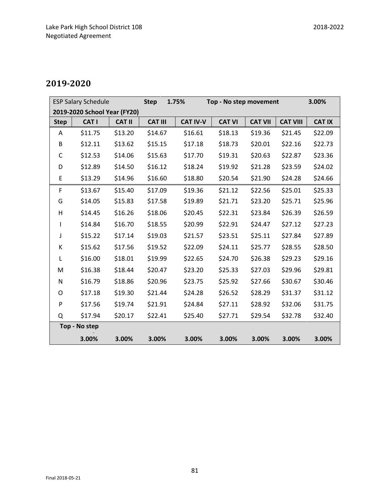| <b>ESP Salary Schedule</b>   |               |               | <b>Step</b>    | 1.75%<br>Top - No step movement |               |                | 3.00%           |               |
|------------------------------|---------------|---------------|----------------|---------------------------------|---------------|----------------|-----------------|---------------|
| 2019-2020 School Year (FY20) |               |               |                |                                 |               |                |                 |               |
| <b>Step</b>                  | CAT I         | <b>CAT II</b> | <b>CAT III</b> | <b>CAT IV-V</b>                 | <b>CAT VI</b> | <b>CAT VII</b> | <b>CAT VIII</b> | <b>CAT IX</b> |
| A                            | \$11.75       | \$13.20       | \$14.67        | \$16.61                         | \$18.13       | \$19.36        | \$21.45         | \$22.09       |
| B                            | \$12.11       | \$13.62       | \$15.15        | \$17.18                         | \$18.73       | \$20.01        | \$22.16         | \$22.73       |
| $\mathsf C$                  | \$12.53       | \$14.06       | \$15.63        | \$17.70                         | \$19.31       | \$20.63        | \$22.87         | \$23.36       |
| D                            | \$12.89       | \$14.50       | \$16.12        | \$18.24                         | \$19.92       | \$21.28        | \$23.59         | \$24.02       |
| E                            | \$13.29       | \$14.96       | \$16.60        | \$18.80                         | \$20.54       | \$21.90        | \$24.28         | \$24.66       |
| F                            | \$13.67       | \$15.40       | \$17.09        | \$19.36                         | \$21.12       | \$22.56        | \$25.01         | \$25.33       |
| G                            | \$14.05       | \$15.83       | \$17.58        | \$19.89                         | \$21.71       | \$23.20        | \$25.71         | \$25.96       |
| H                            | \$14.45       | \$16.26       | \$18.06        | \$20.45                         | \$22.31       | \$23.84        | \$26.39         | \$26.59       |
| I                            | \$14.84       | \$16.70       | \$18.55        | \$20.99                         | \$22.91       | \$24.47        | \$27.12         | \$27.23       |
| J                            | \$15.22       | \$17.14       | \$19.03        | \$21.57                         | \$23.51       | \$25.11        | \$27.84         | \$27.89       |
| К                            | \$15.62       | \$17.56       | \$19.52        | \$22.09                         | \$24.11       | \$25.77        | \$28.55         | \$28.50       |
| L                            | \$16.00       | \$18.01       | \$19.99        | \$22.65                         | \$24.70       | \$26.38        | \$29.23         | \$29.16       |
| M                            | \$16.38       | \$18.44       | \$20.47        | \$23.20                         | \$25.33       | \$27.03        | \$29.96         | \$29.81       |
| N                            | \$16.79       | \$18.86       | \$20.96        | \$23.75                         | \$25.92       | \$27.66        | \$30.67         | \$30.46       |
| O                            | \$17.18       | \$19.30       | \$21.44        | \$24.28                         | \$26.52       | \$28.29        | \$31.37         | \$31.12       |
| P                            | \$17.56       | \$19.74       | \$21.91        | \$24.84                         | \$27.11       | \$28.92        | \$32.06         | \$31.75       |
| Q                            | \$17.94       | \$20.17       | \$22.41        | \$25.40                         | \$27.71       | \$29.54        | \$32.78         | \$32.40       |
|                              | Top - No step |               |                |                                 |               |                |                 |               |
|                              | 3.00%         | 3.00%         | 3.00%          | 3.00%                           | 3.00%         | 3.00%          | 3.00%           | 3.00%         |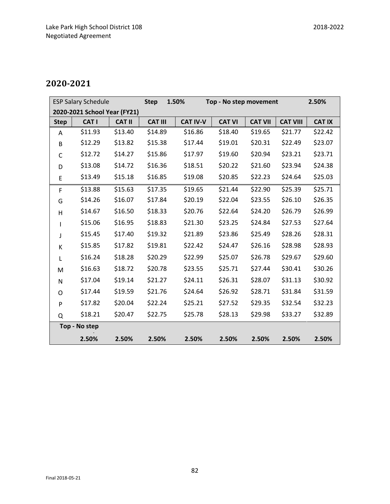| <b>ESP Salary Schedule</b>   |         |               | <b>Step</b>    | 1.50%<br>Top - No step movement |               |                |                 | 2.50%         |
|------------------------------|---------|---------------|----------------|---------------------------------|---------------|----------------|-----------------|---------------|
| 2020-2021 School Year (FY21) |         |               |                |                                 |               |                |                 |               |
| <b>Step</b>                  | CAT I   | <b>CAT II</b> | <b>CAT III</b> | <b>CAT IV-V</b>                 | <b>CAT VI</b> | <b>CAT VII</b> | <b>CAT VIII</b> | <b>CAT IX</b> |
| A                            | \$11.93 | \$13.40       | \$14.89        | \$16.86                         | \$18.40       | \$19.65        | \$21.77         | \$22.42       |
| B                            | \$12.29 | \$13.82       | \$15.38        | \$17.44                         | \$19.01       | \$20.31        | \$22.49         | \$23.07       |
| C                            | \$12.72 | \$14.27       | \$15.86        | \$17.97                         | \$19.60       | \$20.94        | \$23.21         | \$23.71       |
| D                            | \$13.08 | \$14.72       | \$16.36        | \$18.51                         | \$20.22       | \$21.60        | \$23.94         | \$24.38       |
| E                            | \$13.49 | \$15.18       | \$16.85        | \$19.08                         | \$20.85       | \$22.23        | \$24.64         | \$25.03       |
| F                            | \$13.88 | \$15.63       | \$17.35        | \$19.65                         | \$21.44       | \$22.90        | \$25.39         | \$25.71       |
| G                            | \$14.26 | \$16.07       | \$17.84        | \$20.19                         | \$22.04       | \$23.55        | \$26.10         | \$26.35       |
| H                            | \$14.67 | \$16.50       | \$18.33        | \$20.76                         | \$22.64       | \$24.20        | \$26.79         | \$26.99       |
| $\mathsf{I}$                 | \$15.06 | \$16.95       | \$18.83        | \$21.30                         | \$23.25       | \$24.84        | \$27.53         | \$27.64       |
| J                            | \$15.45 | \$17.40       | \$19.32        | \$21.89                         | \$23.86       | \$25.49        | \$28.26         | \$28.31       |
| К                            | \$15.85 | \$17.82       | \$19.81        | \$22.42                         | \$24.47       | \$26.16        | \$28.98         | \$28.93       |
| L                            | \$16.24 | \$18.28       | \$20.29        | \$22.99                         | \$25.07       | \$26.78        | \$29.67         | \$29.60       |
| M                            | \$16.63 | \$18.72       | \$20.78        | \$23.55                         | \$25.71       | \$27.44        | \$30.41         | \$30.26       |
| N                            | \$17.04 | \$19.14       | \$21.27        | \$24.11                         | \$26.31       | \$28.07        | \$31.13         | \$30.92       |
| O                            | \$17.44 | \$19.59       | \$21.76        | \$24.64                         | \$26.92       | \$28.71        | \$31.84         | \$31.59       |
| P                            | \$17.82 | \$20.04       | \$22.24        | \$25.21                         | \$27.52       | \$29.35        | \$32.54         | \$32.23       |
| Q                            | \$18.21 | \$20.47       | \$22.75        | \$25.78                         | \$28.13       | \$29.98        | \$33.27         | \$32.89       |
| Top - No step                |         |               |                |                                 |               |                |                 |               |
|                              | 2.50%   | 2.50%         | 2.50%          | 2.50%                           | 2.50%         | 2.50%          | 2.50%           | 2.50%         |